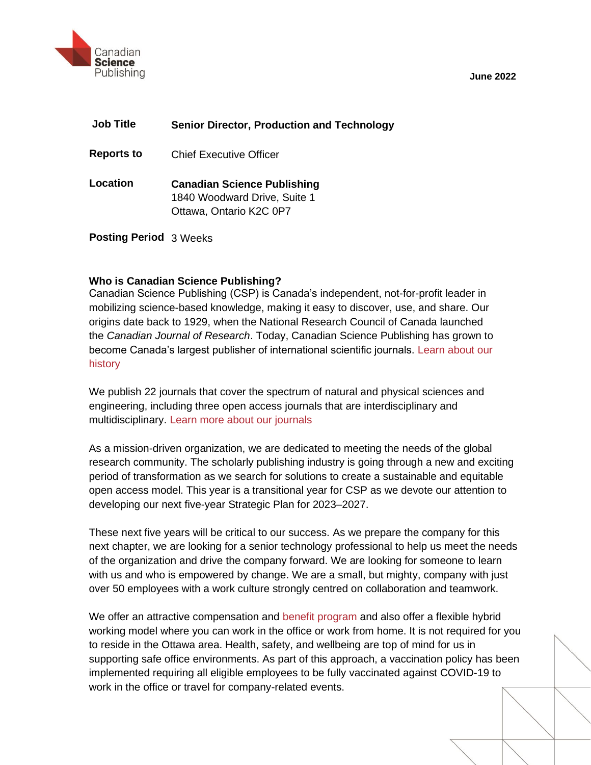

**June 2022**

| <b>Job Title</b>              | <b>Senior Director, Production and Technology</b>                                             |
|-------------------------------|-----------------------------------------------------------------------------------------------|
| <b>Reports to</b>             | Chief Executive Officer                                                                       |
| Location                      | <b>Canadian Science Publishing</b><br>1840 Woodward Drive, Suite 1<br>Ottawa, Ontario K2C 0P7 |
| <b>Posting Period</b> 3 Weeks |                                                                                               |

# **Who is Canadian Science Publishing?**

Canadian Science Publishing (CSP) is Canada's independent, not-for-profit leader in mobilizing science-based knowledge, making it easy to discover, use, and share. Our origins date back to 1929, when the National Research Council of Canada launched the *Canadian Journal of Research*. Today, Canadian Science Publishing has grown to become Canada's largest publisher of international scientific journals. [Learn about our](https://cdnsciencepub.com/about/our-history)  [history](https://cdnsciencepub.com/about/our-history)

We publish 22 journals that cover the spectrum of natural and physical sciences and engineering, including three open access journals that are interdisciplinary and multidisciplinary. [Learn more about our journals](https://cdnsciencepub.com/action/showPublications?display=byAlphabet&pubType=journal)

As a mission-driven organization, we are dedicated to meeting the needs of the global research community. The scholarly publishing industry is going through a new and exciting period of transformation as we search for solutions to create a sustainable and equitable open access model. This year is a transitional year for CSP as we devote our attention to developing our next five-year Strategic Plan for 2023–2027.

These next five years will be critical to our success. As we prepare the company for this next chapter, we are looking for a senior technology professional to help us meet the needs of the organization and drive the company forward. We are looking for someone to learn with us and who is empowered by change. We are a small, but mighty, company with just over 50 employees with a work culture strongly centred on collaboration and teamwork.

We offer an attractive compensation and [benefit program](https://cdnsciencepub.com/about/careers) and also offer a flexible hybrid working model where you can work in the office or work from home. It is not required for you to reside in the Ottawa area. Health, safety, and wellbeing are top of mind for us in supporting safe office environments. As part of this approach, a vaccination policy has been implemented requiring all eligible employees to be fully vaccinated against COVID-19 to work in the office or travel for company-related events.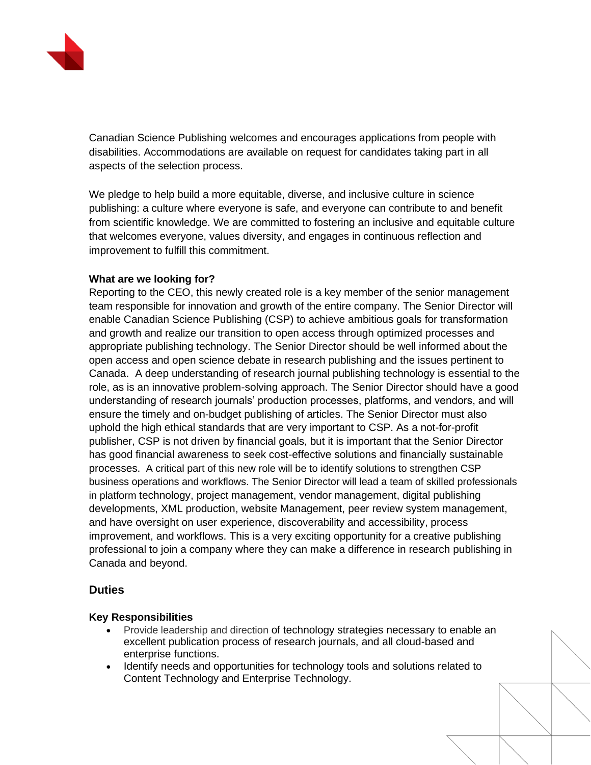

Canadian Science Publishing welcomes and encourages applications from people with disabilities. Accommodations are available on request for candidates taking part in all aspects of the selection process.

We pledge to help build a more equitable, diverse, and inclusive culture in science publishing: a culture where everyone is safe, and everyone can contribute to and benefit from scientific knowledge. We are committed to fostering an inclusive and equitable culture that welcomes everyone, values diversity, and engages in continuous reflection and improvement to fulfill this commitment.

# **What are we looking for?**

Reporting to the CEO, this newly created role is a key member of the senior management team responsible for innovation and growth of the entire company. The Senior Director will enable Canadian Science Publishing (CSP) to achieve ambitious goals for transformation and growth and realize our transition to open access through optimized processes and appropriate publishing technology. The Senior Director should be well informed about the open access and open science debate in research publishing and the issues pertinent to Canada. A deep understanding of research journal publishing technology is essential to the role, as is an innovative problem-solving approach. The Senior Director should have a good understanding of research journals' production processes, platforms, and vendors, and will ensure the timely and on-budget publishing of articles. The Senior Director must also uphold the high ethical standards that are very important to CSP. As a not-for-profit publisher, CSP is not driven by financial goals, but it is important that the Senior Director has good financial awareness to seek cost-effective solutions and financially sustainable processes. A critical part of this new role will be to identify solutions to strengthen CSP business operations and workflows. The Senior Director will lead a team of skilled professionals in platform technology, project management, vendor management, digital publishing developments, XML production, website Management, peer review system management, and have oversight on user experience, discoverability and accessibility, process improvement, and workflows. This is a very exciting opportunity for a creative publishing professional to join a company where they can make a difference in research publishing in Canada and beyond.

# **Duties**

### **Key Responsibilities**

- Provide leadership and direction of technology strategies necessary to enable an excellent publication process of research journals, and all cloud-based and enterprise functions.
- Identify needs and opportunities for technology tools and solutions related to Content Technology and Enterprise Technology.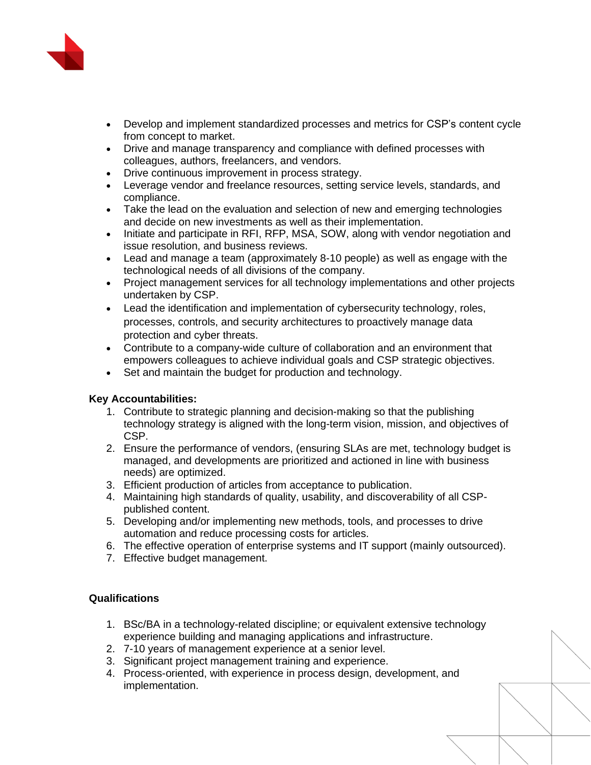

- Develop and implement standardized processes and metrics for CSP's content cycle from concept to market.
- Drive and manage transparency and compliance with defined processes with colleagues, authors, freelancers, and vendors.
- Drive continuous improvement in process strategy.
- Leverage vendor and freelance resources, setting service levels, standards, and compliance.
- Take the lead on the evaluation and selection of new and emerging technologies and decide on new investments as well as their implementation.
- Initiate and participate in RFI, RFP, MSA, SOW, along with vendor negotiation and issue resolution, and business reviews.
- Lead and manage a team (approximately 8-10 people) as well as engage with the technological needs of all divisions of the company.
- Project management services for all technology implementations and other projects undertaken by CSP.
- Lead the identification and implementation of cybersecurity technology, roles, processes, controls, and security architectures to proactively manage data protection and cyber threats.
- Contribute to a company-wide culture of collaboration and an environment that empowers colleagues to achieve individual goals and CSP strategic objectives.
- Set and maintain the budget for production and technology.

### **Key Accountabilities:**

- 1. Contribute to strategic planning and decision-making so that the publishing technology strategy is aligned with the long-term vision, mission, and objectives of CSP.
- 2. Ensure the performance of vendors, (ensuring SLAs are met, technology budget is managed, and developments are prioritized and actioned in line with business needs) are optimized.
- 3. Efficient production of articles from acceptance to publication.
- 4. Maintaining high standards of quality, usability, and discoverability of all CSPpublished content.
- 5. Developing and/or implementing new methods, tools, and processes to drive automation and reduce processing costs for articles.
- 6. The effective operation of enterprise systems and IT support (mainly outsourced).
- 7. Effective budget management.

### **Qualifications**

- 1. BSc/BA in a technology-related discipline; or equivalent extensive technology experience building and managing applications and infrastructure.
- 2. 7-10 years of management experience at a senior level.
- 3. Significant project management training and experience.
- 4. Process-oriented, with experience in process design, development, and implementation.